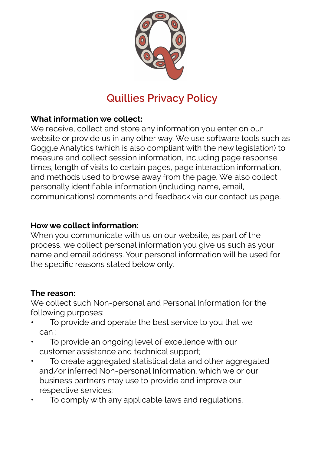

# **Quillies Privacy Policy**

# **What information we collect:**

We receive, collect and store any information you enter on our website or provide us in any other way. We use software tools such as Goggle Analytics (which is also compliant with the new legislation) to measure and collect session information, including page response times, length of visits to certain pages, page interaction information, and methods used to browse away from the page. We also collect personally identifiable information (including name, email, communications) comments and feedback via our contact us page.

#### **How we collect information:**

When you communicate with us on our website, as part of the process, we collect personal information you give us such as your name and email address. Your personal information will be used for the specific reasons stated below only.

#### **The reason:**

We collect such Non-personal and Personal Information for the following purposes:

- To provide and operate the best service to you that we can ;
- To provide an ongoing level of excellence with our customer assistance and technical support;
- To create aggregated statistical data and other aggregated and/or inferred Non-personal Information, which we or our business partners may use to provide and improve our respective services;
- To comply with any applicable laws and regulations.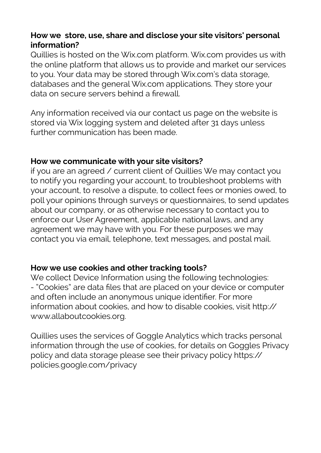#### **How we store, use, share and disclose your site visitors' personal information?**

Quillies is hosted on the Wix.com platform. Wix.com provides us with the online platform that allows us to provide and market our services to you. Your data may be stored through Wix.com's data storage, databases and the general Wix.com applications. They store your data on secure servers behind a firewall.

Any information received via our contact us page on the website is stored via Wix logging system and deleted after 31 days unless further communication has been made.

#### **How we communicate with your site visitors?**

if you are an agreed / current client of Quillies We may contact you to notify you regarding your account, to troubleshoot problems with your account, to resolve a dispute, to collect fees or monies owed, to poll your opinions through surveys or questionnaires, to send updates about our company, or as otherwise necessary to contact you to enforce our User Agreement, applicable national laws, and any agreement we may have with you. For these purposes we may contact you via email, telephone, text messages, and postal mail.

#### **How we use cookies and other tracking tools?**

We collect Device Information using the following technologies: - "Cookies" are data files that are placed on your device or computer and often include an anonymous unique identifier. For more information about cookies, and how to disable cookies, visit [http://](https://l.facebook.com/l.php?u=http%3A%2F%2Fwww.allaboutcookies.org%2F&h=ATPCsHh-VtATsVA-acv8c-UQTSNdRXJNs2E4FPhCbZIh0xuIhp2OVWqt0chBmN-ECgnrHa-rscOrf-efaYaRRBnFRl8_1ab6DZTSTj-mfKKbb90uqQn-CFvW) [www.allaboutcookies.org](https://l.facebook.com/l.php?u=http%3A%2F%2Fwww.allaboutcookies.org%2F&h=ATPCsHh-VtATsVA-acv8c-UQTSNdRXJNs2E4FPhCbZIh0xuIhp2OVWqt0chBmN-ECgnrHa-rscOrf-efaYaRRBnFRl8_1ab6DZTSTj-mfKKbb90uqQn-CFvW).

Quillies uses the services of Goggle Analytics which tracks personal information through the use of cookies, for details on Goggles Privacy policy and data storage please see their privacy policy [https://](https://l.facebook.com/l.php?u=https%3A%2F%2Fpolicies.google.com%2Fprivacy&h=ATPCsHh-VtATsVA-acv8c-UQTSNdRXJNs2E4FPhCbZIh0xuIhp2OVWqt0chBmN-ECgnrHa-rscOrf-efaYaRRBnFRl8_1ab6DZTSTj-mfKKbb90uqQn-CFvW) [policies.google.com/privacy](https://l.facebook.com/l.php?u=https%3A%2F%2Fpolicies.google.com%2Fprivacy&h=ATPCsHh-VtATsVA-acv8c-UQTSNdRXJNs2E4FPhCbZIh0xuIhp2OVWqt0chBmN-ECgnrHa-rscOrf-efaYaRRBnFRl8_1ab6DZTSTj-mfKKbb90uqQn-CFvW)